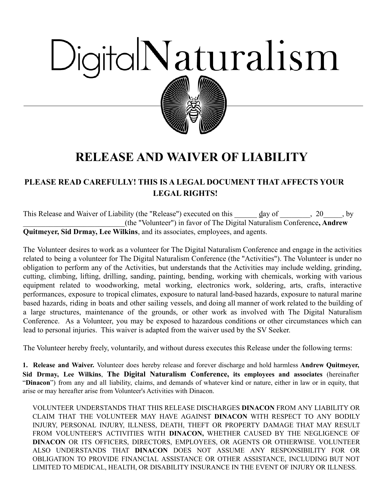# DigitalNaturalism



# **RELEASE AND WAIVER OF LIABILITY**

# **PLEASE READ CAREFULLY! THIS IS A LEGAL DOCUMENT THAT AFFECTS YOUR LEGAL RIGHTS!**

This Release and Waiver of Liability (the "Release") executed on this \_\_\_\_\_\_ day of \_\_\_\_\_\_\_, 20\_\_\_\_\_, by \_\_\_\_\_\_\_\_\_\_\_\_\_\_\_\_\_\_\_\_\_\_\_\_\_\_\_(the "Volunteer") in favor of The Digital Naturalism Conference**, Andrew Quitmeyer, Sid Drmay, Lee Wilkins**, and its associates, employees, and agents.

The Volunteer desires to work as a volunteer for The Digital Naturalism Conference and engage in the activities related to being a volunteer for The Digital Naturalism Conference (the "Activities"). The Volunteer is under no obligation to perform any of the Activities, but understands that the Activities may include welding, grinding, cutting, climbing, lifting, drilling, sanding, painting, bending, working with chemicals, working with various equipment related to woodworking, metal working, electronics work, soldering, arts, crafts, interactive performances, exposure to tropical climates, exposure to natural land-based hazards, exposure to natural marine based hazards, riding in boats and other sailing vessels, and doing all manner of work related to the building of a large structures, maintenance of the grounds, or other work as involved with The Digital Naturalism Conference. As a Volunteer, you may be exposed to hazardous conditions or other circumstances which can lead to personal injuries. This waiver is adapted from the waiver used by the SV Seeker.

The Volunteer hereby freely, voluntarily, and without duress executes this Release under the following terms:

**1. Release and Waiver.** Volunteer does hereby release and forever discharge and hold harmless **Andrew Quitmeyer, Sid Drmay, Lee Wilkins**, **The Digital Naturalism Conference, its employees and associates** (hereinafter "**Dinacon**") from any and all liability, claims, and demands of whatever kind or nature, either in law or in equity, that arise or may hereafter arise from Volunteer's Activities with Dinacon.

VOLUNTEER UNDERSTANDS THAT THIS RELEASE DISCHARGES **DINACON** FROM ANY LIABILITY OR CLAIM THAT THE VOLUNTEER MAY HAVE AGAINST **DINACON** WITH RESPECT TO ANY BODILY INJURY, PERSONAL INJURY, ILLNESS, DEATH, THEFT OR PROPERTY DAMAGE THAT MAY RESULT FROM VOLUNTEER'S ACTIVITIES WITH **DINACON,** WHETHER CAUSED BY THE NEGLIGENCE OF **DINACON** OR ITS OFFICERS, DIRECTORS, EMPLOYEES, OR AGENTS OR OTHERWISE. VOLUNTEER ALSO UNDERSTANDS THAT **DINACON** DOES NOT ASSUME ANY RESPONSIBILITY FOR OR OBLIGATION TO PROVIDE FINANCIAL ASSISTANCE OR OTHER ASSISTANCE, INCLUDING BUT NOT LIMITED TO MEDICAL, HEALTH, OR DISABILITY INSURANCE IN THE EVENT OF INJURY OR ILLNESS.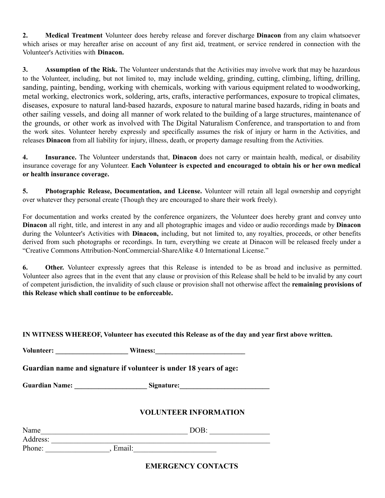**2. Medical Treatment** Volunteer does hereby release and forever discharge **Dinacon** from any claim whatsoever which arises or may hereafter arise on account of any first aid, treatment, or service rendered in connection with the Volunteer's Activities with **Dinacon.**

**3. Assumption of the Risk.** The Volunteer understands that the Activities may involve work that may be hazardous to the Volunteer, including, but not limited to, may include welding, grinding, cutting, climbing, lifting, drilling, sanding, painting, bending, working with chemicals, working with various equipment related to woodworking, metal working, electronics work, soldering, arts, crafts, interactive performances, exposure to tropical climates, diseases, exposure to natural land-based hazards, exposure to natural marine based hazards, riding in boats and other sailing vessels, and doing all manner of work related to the building of a large structures, maintenance of the grounds, or other work as involved with The Digital Naturalism Conference, and transportation to and from the work sites. Volunteer hereby expressly and specifically assumes the risk of injury or harm in the Activities, and releases **Dinacon** from all liability for injury, illness, death, or property damage resulting from the Activities.

**4. Insurance.** The Volunteer understands that, **Dinacon** does not carry or maintain health, medical, or disability insurance coverage for any Volunteer. **Each Volunteer is expected and encouraged to obtain his or her own medical or health insurance coverage.**

**5. Photographic Release, Documentation, and License.** Volunteer will retain all legal ownership and copyright over whatever they personal create (Though they are encouraged to share their work freely).

For documentation and works created by the conference organizers, the Volunteer does hereby grant and convey unto **Dinacon** all right, title, and interest in any and all photographic images and video or audio recordings made by **Dinacon** during the Volunteer's Activities with **Dinacon,** including, but not limited to, any royalties, proceeds, or other benefits derived from such photographs or recordings. In turn, everything we create at Dinacon will be released freely under a "Creative Commons Attribution-NonCommercial-ShareAlike 4.0 International License."

**6. Other.** Volunteer expressly agrees that this Release is intended to be as broad and inclusive as permitted. Volunteer also agrees that in the event that any clause or provision of this Release shall be held to be invalid by any court of competent jurisdiction, the invalidity of such clause or provision shall not otherwise affect the **remaining provisions of this Release which shall continue to be enforceable.**

#### **IN WITNESS WHEREOF, Volunteer has executed this Release as of the day and year first above written.**

| <b>Volunteer:</b> | Witness: |
|-------------------|----------|
|-------------------|----------|

**Guardian name and signature if volunteer is under 18 years of age:**

**Guardian Name: \_\_\_\_\_\_\_\_\_\_\_\_\_\_\_\_\_\_\_\_\_ Signature:\_\_\_\_\_\_\_\_\_\_\_\_\_\_\_\_\_\_\_\_\_\_\_\_\_\_**

### **VOLUNTEER INFORMATION**

| Name     |        | DOB: |
|----------|--------|------|
| Address: |        |      |
| Phone:   | Email: |      |

## **EMERGENCY CONTACTS**